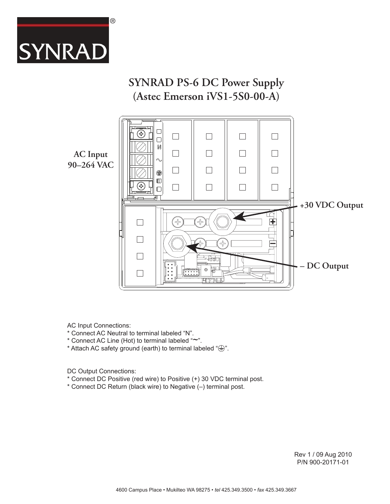

# **SYNRAD PS-6 DC Power Supply (Astec Emerson iVS1-5S0-00-A)**

**AC Input 90–264 VAC**



AC Input Connections:

- \* Connect AC Neutral to terminal labeled "N".
- \* Connect AC Line (Hot) to terminal labeled "~".
- \* Attach AC safety ground (earth) to terminal labeled " $\bigcirc$ ".

DC Output Connections:

- \* Connect DC Positive (red wire) to Positive (+) 30 VDC terminal post.
- \* Connect DC Return (black wire) to Negative (–) terminal post.

Rev 1 / 09 Aug 2010 P/N 900-20171-01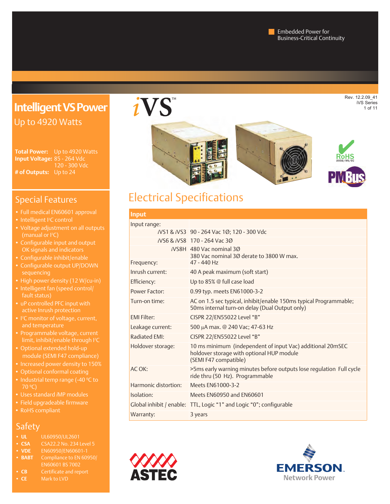# **Intelligent VS Power** Up to 4920 Watts

**Total Power:** Up to 4920 Watts **Input Voltage:** 85 - 264 Vdc 120 - 300 Vdc **# of Outputs:** Up to 24

## Special Features

- Full medical EN60601 approval
- Intelligent <sup>2</sup>C control
- (manual or PC)
- Configurable input and output OK signals and indicators
- Configurable inhibit/enable
- Configurable output UP/DOWN
- High power density (12 W/cu-in)
- Intelligent fan (speed control/ fault status)
- active Inrush protection
- I<sup>2</sup>C monitor of voltage, current,
- Programmable voltage, current limit, inhibit/enable through I2 C
- module (SEMI F47 compliance)
- 
- Optional conformal coating
- Industrial temp range (-40 ºC to
- Uses standard *i*MP modules
- Field upgradeable firmware
- RoHS compliant

## Safety

- **• UL** UL60950/UL2601
- **• CSA** CSA22.2 No. 234 Level 5
- 
- **• BABT** Compliance to EN 60950/ EN60601 BS 7002
- **• CB** Certificate and report
- **• CE** Mark to LVD





# Electrical Specifications

#### **Input**  $In$

| input range:         |                                                                                                                                  |
|----------------------|----------------------------------------------------------------------------------------------------------------------------------|
|                      | iVS1 & iVS3 90 - 264 Vac 1Ø; 120 - 300 Vdc                                                                                       |
|                      | iVS6 & iVS8 170 - 264 Vac 30                                                                                                     |
|                      | $i$ VS8H 480 Vac nominal 30<br>380 Vac nominal 30 derate to 3800 W max.                                                          |
| Frequency:           | 47 - 440 Hz                                                                                                                      |
| Inrush current:      | 40 A peak maximum (soft start)                                                                                                   |
| Efficiency:          | Up to 85% @ full case load                                                                                                       |
| Power Factor:        | 0.99 typ. meets EN61000-3-2                                                                                                      |
| Turn-on time:        | AC on 1.5 sec typical, inhibit/enable 150ms typical Programmable;<br>50ms internal turn-on delay (Dual Output only)              |
| <b>FMI Filter:</b>   | CISPR 22/EN55022 Level "B"                                                                                                       |
| Leakage current:     | 500 µA max. @ 240 Vac; 47-63 Hz                                                                                                  |
| <b>Radiated EMI:</b> | CISPR 22/EN55022 Level "B"                                                                                                       |
| Holdover storage:    | 10 ms minimum (independent of input Vac) additional 20mSEC<br>holdover storage with optional HUP module<br>(SEMI F47 compatible) |
| AC OK:               | >5ms early warning minutes before outputs lose regulation Full cycle<br>ride thru (50 Hz). Programmable                          |
| Harmonic distortion: | Meets EN61000-3-2                                                                                                                |
| Isolation:           | Meets EN60950 and EN60601                                                                                                        |
|                      | Global inhibit / enable: TTL, Logic "1" and Logic "0"; configurable                                                              |
| Warranty:            | 3 years                                                                                                                          |



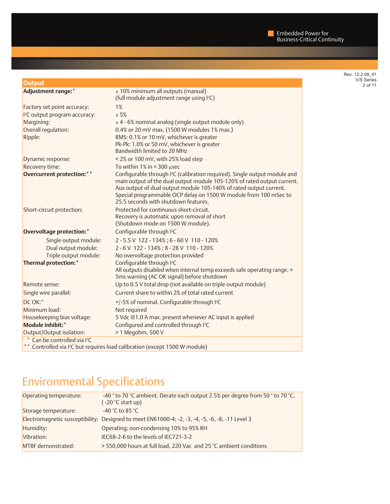| Rev. 12.2.09 41   |
|-------------------|
| <b>iVS</b> Series |
| 2 of 11           |

| <b>Output</b>                             |                                                                                                                                                                                                                                                                                                                                                                                                                                                                                            |
|-------------------------------------------|--------------------------------------------------------------------------------------------------------------------------------------------------------------------------------------------------------------------------------------------------------------------------------------------------------------------------------------------------------------------------------------------------------------------------------------------------------------------------------------------|
| Adjustment range:*                        | ± 10% minimum all outputs (manual)<br>(full module adjustment range using I <sup>2</sup> C)                                                                                                                                                                                                                                                                                                                                                                                                |
| Factory set point accuracy:               | 1%                                                                                                                                                                                                                                                                                                                                                                                                                                                                                         |
| I <sup>2</sup> C output program accuracy: | ± 5%                                                                                                                                                                                                                                                                                                                                                                                                                                                                                       |
| Margining:                                | ± 4 - 6% nominal analog (single output module only)                                                                                                                                                                                                                                                                                                                                                                                                                                        |
| Overall regulation:                       | 0.4% or 20 mV max. (1500 W modules 1% max.)                                                                                                                                                                                                                                                                                                                                                                                                                                                |
| Ripple:                                   | RMS: 0.1% or 10 mV, whichever is greater<br>Pk-Pk: 1.0% or 50 mV, whichever is greater<br>Bandwidth limited to 20 MHz                                                                                                                                                                                                                                                                                                                                                                      |
| Dynamic response:                         | < 2% or 100 mV, with 25% load step                                                                                                                                                                                                                                                                                                                                                                                                                                                         |
| Recovery time:                            | To within $1\%$ in < 300 µsec                                                                                                                                                                                                                                                                                                                                                                                                                                                              |
| <b>Overcurrent protection:</b> **         | Configurable through I <sup>2</sup> C (calibration required). Single output module and<br>main output of the dual output module 105-120% of rated output current.<br>Aux output of dual output module 105-140% of rated output current.<br>Special programmable OCP delay on 1500 W module from 100 mSec to<br>25.5 seconds with shutdown features.                                                                                                                                        |
| Short-circuit protection:                 | Protected for continuous short-circuit.<br>Recovery is automatic upon removal of short<br>(Shutdown mode on 1500 W module).                                                                                                                                                                                                                                                                                                                                                                |
| <b>Overvoltage protection:*</b>           | Configurable through I <sup>2</sup> C                                                                                                                                                                                                                                                                                                                                                                                                                                                      |
| Single output module:                     | 2-5.5 V 122-134%; 6-60 V 110-120%                                                                                                                                                                                                                                                                                                                                                                                                                                                          |
| Dual output module:                       | 2-6V 122-134%; 8-28V 110-120%                                                                                                                                                                                                                                                                                                                                                                                                                                                              |
| Triple output module:                     | No overvoltage protection provided                                                                                                                                                                                                                                                                                                                                                                                                                                                         |
| <b>Thermal protection:*</b>               | Configurable through I <sup>2</sup> C<br>All outputs disabled when internal temp exceeds safe operating range. ><br>5ms warning (AC OK signal) before shutdown                                                                                                                                                                                                                                                                                                                             |
| Remote sense:                             | Up to 0.5 V total drop (not available on triple output module)                                                                                                                                                                                                                                                                                                                                                                                                                             |
| Single wire parallel:                     | Current share to within 2% of total rated current                                                                                                                                                                                                                                                                                                                                                                                                                                          |
| DC OK:*                                   | +/-5% of nominal. Configurable through I <sup>2</sup> C                                                                                                                                                                                                                                                                                                                                                                                                                                    |
| Minimum load:                             | Not required                                                                                                                                                                                                                                                                                                                                                                                                                                                                               |
| Housekeeping bias voltage:                | 5 Vdc @1.0 A max. present whenever AC input is applied                                                                                                                                                                                                                                                                                                                                                                                                                                     |
| Module inhibit:*                          | Configured and controlled through I <sup>2</sup> C                                                                                                                                                                                                                                                                                                                                                                                                                                         |
| Output/Output isolation:                  | > 1 Megohm, 500 V                                                                                                                                                                                                                                                                                                                                                                                                                                                                          |
| * Can be controlled via I <sup>2</sup> C  | $\blacksquare$ $\blacksquare$ $\blacksquare$ $\blacksquare$ $\blacksquare$ $\blacksquare$ $\blacksquare$ $\blacksquare$ $\blacksquare$ $\blacksquare$ $\blacksquare$ $\blacksquare$ $\blacksquare$ $\blacksquare$ $\blacksquare$ $\blacksquare$ $\blacksquare$ $\blacksquare$ $\blacksquare$ $\blacksquare$ $\blacksquare$ $\blacksquare$ $\blacksquare$ $\blacksquare$ $\blacksquare$ $\blacksquare$ $\blacksquare$ $\blacksquare$ $\blacksquare$ $\blacksquare$ $\blacksquare$ $\blacks$ |

\*\* Controlled via I 2 C but requires load calibration (except 1500 W module)

# Environmental Specifications

| Operating temperature: | -40 ° to 70 °C ambient. Derate each output 2.5% per degree from 50 ° to 70 °C.<br>$(-20 °C start up)$ |
|------------------------|-------------------------------------------------------------------------------------------------------|
| Storage temperature:   | -40 $^{\circ}$ C to 85 $^{\circ}$ C                                                                   |
|                        | Electromagnetic susceptibility: Designed to meet EN61000-4; -2, -3, -4, -5, -6, -8, -11 Level 3       |
| Humidity:              | Operating; non-condensing 10% to 95% RH                                                               |
| Vibration:             | IEC68-2-6 to the levels of IEC721-3-2                                                                 |
| MTBF demonstrated:     | > 550,000 hours at full load, 220 Vac and 25 °C ambient conditions                                    |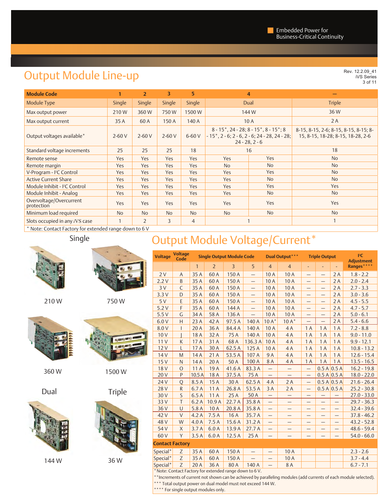# Output Module Line-up

Rev. 12.2.09\_41<br>iVS Series 3 of 11

| <b>Module Code</b>                                                                                                                                                                              |               | $\overline{2}$                  | 3          | 5              |            | 4                                                                                                                                       |                                                                            |
|-------------------------------------------------------------------------------------------------------------------------------------------------------------------------------------------------|---------------|---------------------------------|------------|----------------|------------|-----------------------------------------------------------------------------------------------------------------------------------------|----------------------------------------------------------------------------|
| Module Type                                                                                                                                                                                     | <b>Single</b> | Single                          | Single     | Single         | Dual       |                                                                                                                                         | <b>Triple</b>                                                              |
| Max output power                                                                                                                                                                                | 210W          | 360W                            | 750W       | 1500W          |            | 144W                                                                                                                                    | 36W                                                                        |
| Max output current                                                                                                                                                                              | 35 A          | 60 A                            | 150 A      | 140 A          |            | 10A                                                                                                                                     | 2A                                                                         |
| Output voltages available*                                                                                                                                                                      | $2-60V$       | $2 - 60V$                       | $2 - 60V$  | $6-60V$        |            | $8 - 15$ , 24 - 28; 8 - 15 <sup>*</sup> , 8 - 15 <sup>*</sup> ; 8<br>$-15$ , 2 - 6; 2 - 6, 2 - 6; 24 - 28, 24 - 28;<br>$24 - 28, 2 - 6$ | 8-15, 8-15, 2-6; 8-15, 8-15, 8-15; 8-<br>15, 8-15, 18-28; 8-15, 18-28, 2-6 |
| Standard voltage increments                                                                                                                                                                     | 25            | 25                              | 25         | 18             |            | 16                                                                                                                                      | 18                                                                         |
| Remote sense                                                                                                                                                                                    | Yes           | Yes                             | <b>Yes</b> | Yes            | Yes        | Yes                                                                                                                                     | <b>No</b>                                                                  |
| Remote margin                                                                                                                                                                                   | <b>Yes</b>    | Yes                             | Yes        | Yes            | <b>No</b>  | <b>No</b>                                                                                                                               | <b>No</b>                                                                  |
| V-Program - PC Control                                                                                                                                                                          | Yes           | Yes                             | Yes        | Yes            | <b>Yes</b> | Yes                                                                                                                                     | <b>No</b>                                                                  |
| <b>Active Current Share</b>                                                                                                                                                                     | Yes           | Yes                             | <b>Yes</b> | Yes            | Yes        | <b>No</b>                                                                                                                               | <b>No</b>                                                                  |
| Module Inhibit - <sup>2</sup> C Control                                                                                                                                                         | Yes           | Yes                             | Yes        | Yes            | Yes        | Yes                                                                                                                                     | Yes                                                                        |
| Module Inhibit - Analog                                                                                                                                                                         | <b>Yes</b>    | Yes                             | Yes        | Yes            | Yes        | No                                                                                                                                      | <b>No</b>                                                                  |
| Overvoltage/Overcurrent<br>protection                                                                                                                                                           | <b>Yes</b>    | Yes                             | Yes        | Yes            | Yes<br>Yes |                                                                                                                                         | Yes                                                                        |
| Minimum load required                                                                                                                                                                           | <b>No</b>     | <b>No</b>                       | <b>No</b>  | <b>No</b>      | <b>No</b>  | <b>No</b>                                                                                                                               | <b>No</b>                                                                  |
| Slots occupied in any iVS case<br>$\frac{1}{2}$ and $\frac{1}{2}$ and $\frac{1}{2}$ and $\frac{1}{2}$ and $\frac{1}{2}$ and $\frac{1}{2}$ and $\frac{1}{2}$ and $\frac{1}{2}$ and $\frac{1}{2}$ |               | $\overline{2}$<br>$\sim$ $\sim$ | 3          | $\overline{4}$ |            |                                                                                                                                         |                                                                            |

Note: Contact Factory for extended range down to 6 V



210 W

750 W



360 W

Dual

144 W









| <b>Voltage</b>         | <b>Voltage</b><br>Code                                    | <b>Single Output Module Code</b> |                |                |                          | <b>Dual Output</b> ***<br><b>Triple Output</b> |                          |                          |                          | P <sub>C</sub><br><b>Adjustment</b> |               |
|------------------------|-----------------------------------------------------------|----------------------------------|----------------|----------------|--------------------------|------------------------------------------------|--------------------------|--------------------------|--------------------------|-------------------------------------|---------------|
|                        |                                                           | $\mathbf{1}$                     | $\overline{2}$ | $\overline{3}$ | 5                        | $\overline{4}$                                 | $\overline{4}$           | ٠                        |                          |                                     | Ranges****    |
| 2V                     | A                                                         | 35 A                             | 60 A           | 150A           | $\overline{\phantom{0}}$ | 10A                                            | 10A                      | —                        | 5                        | 2A                                  | $1.8 - 2.2$   |
| 2.2V                   | B                                                         | 35 A                             | 60 A           | 150 A          | $\overline{\phantom{0}}$ | 10A                                            | 10A                      | $\overline{\phantom{0}}$ |                          | 2A                                  | $2.0 - 2.4$   |
| 3V                     | C                                                         | 35 A                             | 60 A           | 150 A          | $\overline{\phantom{0}}$ | 10A                                            | 10A                      | —                        | $\qquad \qquad$          | 2A                                  | $2.7 - 3.3$   |
| 3.3V                   | D                                                         | 35 A                             | 60 A           | 150A           | $\qquad \qquad -$        | 10A                                            | 10A                      | —                        | $\qquad \qquad$          | 2A                                  | $3.0 - 3.6$   |
| 5V                     | E                                                         | 35 A                             | 60 A           | 150A           | —                        | 10A                                            | 10A                      | $\overline{\phantom{0}}$ |                          | 2A                                  | $4.5 - 5.5$   |
| 5.2V                   | F                                                         | 35 A                             | 60 A           | 144 A          | $\overline{\phantom{0}}$ | 10A                                            | 10A                      | —                        | $\overline{\phantom{0}}$ | 2A                                  | $4.7 - 5.7$   |
| 5.5V                   | G                                                         | 34 A                             | 58 A           | 136 A          | $\overline{\phantom{0}}$ | 10A                                            | 10A                      | $\qquad \qquad -$        | $\qquad \qquad$          | 2A                                  | $5.0 - 6.1$   |
| 6.0V                   | H                                                         | 23A                              | 42 A           | 97.5 A         | 140 A                    | $10A*$                                         | $10A*$                   | $\qquad \qquad -$        | $\equiv$                 | 2A                                  | $5.4 - 6.6$   |
| 8.0 V                  | $\mathsf{I}$                                              | 20 A                             | 36 A           | 84.4 A         | 140 A                    | 10A                                            | 4A                       | 1A                       | 1A                       | 1 A                                 | $7.2 - 8.8$   |
| 10V                    |                                                           | 18A                              | 32 A           | 75 A           | 140 A                    | 10A                                            | 4A                       | 1 A                      | 1 A                      | 1A                                  | $9.0 - 11.0$  |
| 11 <sub>V</sub>        | К                                                         | 17 A                             | 31 A           | 68 A           | 136.3 A                  | 10A                                            | 4A                       | 1A                       | 1A                       | 1A                                  | $9.9 - 12.1$  |
| 12V                    | L                                                         | 17A                              | 30 A           | 62.5A          | 125 A                    | 10A                                            | 4A                       | 1A                       | 1 A                      | 1 A                                 | $10.8 - 13.2$ |
| 14 <sub>V</sub>        | M                                                         | 14 A                             | 21A            | 53.5 A         | 107 A                    | 9 A                                            | 4A                       | 1A                       | 1 A                      | 1 A                                 | $12.6 - 15.4$ |
| 15V                    | N                                                         | 14A                              | 20 A           | 50 A           | 100 A                    | 8 A                                            | 4 A                      | 1 A                      | 1 A                      | 1 A                                 | $13.5 - 16.5$ |
| 18 <sub>V</sub>        | $\circ$                                                   | 11 A                             | 19A            | 41.6 A         | 83.3 A                   | $\overline{\phantom{0}}$                       | $\overline{\phantom{0}}$ | $\qquad \qquad -$        |                          | 0.5 A 0.5 A                         | $16.2 - 19.8$ |
| 20V                    | P                                                         | 10.5A                            | 18A            | 37.5 A         | 75 A                     | $\overline{\phantom{0}}$                       | —                        | $\overline{\phantom{0}}$ | 0.5 A 0.5 A              |                                     | $18.0 - 22.0$ |
| 24 V                   | $\circ$                                                   | 8.5A                             | 15A            | 30 A           | 62.5A                    | 4A                                             | 2A                       | $\qquad \qquad -$        | 0.5 A 0.5 A              |                                     | $21.6 - 26.4$ |
| 28 <sub>V</sub>        | R                                                         | 6.7A                             | 11A            | 26.8 A         | 53.5 A                   | 3A                                             | 2A                       | $\overline{\phantom{0}}$ | 0.5 A 0.5 A              |                                     | $25.2 - 30.8$ |
| 30 V                   | S                                                         | 6.5A                             | 11 A           | 25A            | 50 A                     |                                                |                          |                          |                          |                                     | $27.0 - 33.0$ |
| 33 V                   | T                                                         | 6.2A                             | 10.9 A         | 22.7 A         | 35.8 A                   | $\overline{\phantom{0}}$                       | —                        | $\qquad \qquad -$        | —                        | —                                   | $29.7 - 36.3$ |
| 36 V                   | $\cup$                                                    | 5.8A                             | 10A            | 20.8 A         | 35.8 A                   | $\overline{\phantom{0}}$                       | —                        | $\overline{\phantom{0}}$ | —                        | $\qquad \qquad -$                   | $32.4 - 39.6$ |
| 42 V                   | $\vee$                                                    | 4.2A                             | 7.5A           | 16 A           | 35.7 A                   | $\qquad \qquad -$                              |                          | $\qquad \qquad -$        |                          | —                                   | $37.8 - 46.2$ |
| 48 <sub>V</sub>        | W                                                         | 4.0A                             | 7.5A           | 15.6 A         | 31.2A                    | $\overline{\phantom{0}}$                       | —                        | $\overline{\phantom{0}}$ | —                        | $\qquad \qquad -$                   | $43.2 - 52.8$ |
| 54 V                   | X                                                         | 3.7A                             | 6.0A           | 13.9A          | 27.7A                    | $\qquad \qquad -$                              | —                        | $\qquad \qquad -$        | —                        | $\qquad \qquad -$                   | $48.6 - 59.4$ |
| 60 V                   | Y                                                         | 3.5A                             | 6.0 A          | 12.5A          | 25A                      | $\overline{\phantom{0}}$                       |                          |                          |                          |                                     | $54.0 - 66.0$ |
| <b>Contact Factory</b> |                                                           |                                  |                |                |                          |                                                |                          |                          |                          |                                     |               |
| Special*               | Z                                                         | 35A                              | 60A            | 150 A          |                          | $\overline{\phantom{0}}$                       | 10A                      |                          |                          |                                     | $2.3 - 2.6$   |
| Special*               | Z                                                         | 35A                              | 60A            | 150 A          |                          |                                                | 10A                      |                          |                          |                                     | $3.7 - 4.4$   |
| Special*               | Z                                                         | 20A                              | 36A            | 80A            | 140 A                    | $\overline{\phantom{0}}$                       | 8A                       |                          |                          |                                     | $6.7 - 7.1$   |
|                        | $*$ Note: Contact Eastery for extended range down to $5V$ |                                  |                |                |                          |                                                |                          |                          |                          |                                     |               |

\*Note: Contact Factory for extended range down to 6 V.

\*\*Increments of current not shown can be achieved by paralleling modules (add currents of each module selected). \*\*\* Total output power on dual model must not exceed 144 W.

\*\*\*\* For single output modules only.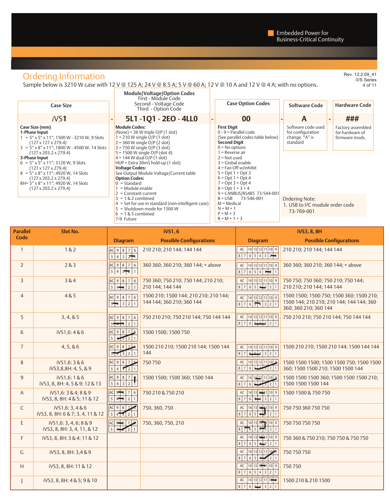## Ordering Information

Sample below is 3210 W case with 12 V @ 125 A; 24 V @ 8.5 A; 5 V @ 60 A; 12 V @ 10 A and 12 V @ 4 A; with no options.

7-9 Future

|                                                                                                                                                                                                                                                                                                                                                                                                                                                                                                  | <b>Module/Voltage/Option Codes</b><br>First - Module Code                                                                                                                                                                                                                                                                                                                                                                               |                                                                                                                                                                                                                                                                                                                                                |                                                                            |                                                        |
|--------------------------------------------------------------------------------------------------------------------------------------------------------------------------------------------------------------------------------------------------------------------------------------------------------------------------------------------------------------------------------------------------------------------------------------------------------------------------------------------------|-----------------------------------------------------------------------------------------------------------------------------------------------------------------------------------------------------------------------------------------------------------------------------------------------------------------------------------------------------------------------------------------------------------------------------------------|------------------------------------------------------------------------------------------------------------------------------------------------------------------------------------------------------------------------------------------------------------------------------------------------------------------------------------------------|----------------------------------------------------------------------------|--------------------------------------------------------|
| <b>Case Size</b>                                                                                                                                                                                                                                                                                                                                                                                                                                                                                 | Second - Voltage Code<br>Third - Option Code                                                                                                                                                                                                                                                                                                                                                                                            | <b>Case Option Codes</b>                                                                                                                                                                                                                                                                                                                       | <b>Software Code</b>                                                       | <b>Hardware Code</b>                                   |
| iVS1                                                                                                                                                                                                                                                                                                                                                                                                                                                                                             | 5L1-1Q1-2EO-4LL0                                                                                                                                                                                                                                                                                                                                                                                                                        | 00                                                                                                                                                                                                                                                                                                                                             | A                                                                          | ###                                                    |
| Case Size (mm)<br>1-Phase Input<br>$= 5$ " x 5" x 11"; 1500 W - 3210 W, 9 Slots<br>$(127 \times 127 \times 279.4)$<br>$3 = 5" \times 8" \times 11"$ ; 1800 W - 4500 W, 14 Slots<br>$(127 \times 203.2 \times 279.4)$<br>3-Phase Input<br>$6 = 5" \times 5" \times 11"$ ; 3120 W, 9 Slots<br>$(127 \times 127 \times 279.4)$<br>$8 = 5" \times 8" \times 11"$ ; 4920 W, 14 Slots<br>$(127 \times 203.2 \times 279.4)$<br>8H= 5" x 8" x 11"; 4920 W, 14 Slots<br>$(127 \times 203.2 \times 279.4)$ | <b>Module Codes:</b><br>(None) = $36$ W triple O/P (1 slot)<br>$= 210$ W single O/P (1 slot)<br>$2 = 360$ W single O/P (2 slot)<br>$3 = 750$ W single O/P (3 slot)<br>$5 = 1500$ W single O/P (slot 4)<br>$4 = 144$ W dual O/P (1 slot)<br>HUP = Extra 30mS hold-up (1 slot)<br><b>Voltage Codes:</b><br>See Output Module Voltage/Current table<br><b>Option Codes:</b><br>$0 =$ Standard<br>= Module enable<br>$2 =$ Constant current | <b>First Digit</b><br>$0 - 9$ = Parallel code<br>(See parallel codes table below)<br><b>Second Diait</b><br>$0 = No$ options<br>1 = Reverse air<br>$2 = Not used$<br>$3 = Global$ enable<br>$4 = Fan$ Off w/inhibit<br>$5 = Opt 1 + Opt 3$<br>$6 = Opt 1 + Opt 4$<br>$7 = Opt 3 + Opt 4$<br>$8 = Opt 1 + 3 + 4$<br>9 = CANBUS/RS485 73-544-001 | Software code used<br>for configuration<br>change. "A" is<br>standard      | Factory assembled<br>for hardware of<br>firmware mods. |
|                                                                                                                                                                                                                                                                                                                                                                                                                                                                                                  | $3 = 1$ & 2 combined<br>$4 = Set$ for use in standard (non-intelligent case)<br>5 = Shutdown mode for 1500 W<br>$6 = 1$ & 5 combined                                                                                                                                                                                                                                                                                                    | 73-546-001<br>$B = USB$<br>$M = Medical$<br>$N = M + 1$<br>$P = M + 3$                                                                                                                                                                                                                                                                         | Ordering Note:<br>1. USB to <sup>2</sup> C module order code<br>73-769-001 |                                                        |

 $R = M + 1 + 3$ 

| <b>Parallel</b> | Slot No.                                              |                                                                                                              | <b>iVS1,6</b>                                                      |                                                                                                                                                 | <b>iVS3, 8, 8H</b>                                                                                            |
|-----------------|-------------------------------------------------------|--------------------------------------------------------------------------------------------------------------|--------------------------------------------------------------------|-------------------------------------------------------------------------------------------------------------------------------------------------|---------------------------------------------------------------------------------------------------------------|
| Code            |                                                       | <b>Diagram</b>                                                                                               | <b>Possible Configurations</b>                                     | <b>Diagram</b>                                                                                                                                  | <b>Possible Configurations</b>                                                                                |
| $\mathbf{1}$    | 1&2                                                   | $AC$ 9 8 7 6<br>5   4   3   2                                                                                | 210 210; 210 144; 144 144                                          | AC   14   13   12   11   10   9<br>8765437                                                                                                      | 210 210; 210 144; 144 144                                                                                     |
| $\overline{2}$  | 283                                                   | $AC$ 9 8 7 6<br>5 4 3                                                                                        | 360 360; 360 210; 360 144; + above                                 | $\boxed{14}$ $\boxed{13}$ $\boxed{12}$ $\boxed{11}$ $\boxed{10}$ $\boxed{9}$<br>AC<br>654321<br>$8 \mid 7$                                      | 360 360; 360 210; 360 144; + above                                                                            |
| 3               | 3&4                                                   | AC9876<br>$5 \mid 4 \rightarrow$<br>$\overline{2}$                                                           | 750 360; 750 210; 750 144; 210 210;<br>210 144: 144 144            | AC 14 13 12 11 10 9<br>87654321                                                                                                                 | 750 750: 750 360: 750 210: 750 144:<br>210 210: 210 144: 144 144                                              |
| $\overline{4}$  | 4&5                                                   | AC 9 8 7 6<br>$5 - 3 2 1$                                                                                    | 1500 210; 1500 144; 210 210; 210 144;<br>144 144; 360 210; 360 144 | AC 14 13 12 11 10 9<br>87654321                                                                                                                 | 1500 1500; 1500 750; 1500 360; 1500 210;<br>1500 144; 210 210; 210 144; 144 144; 360<br>360; 360 210; 360 144 |
| 5               | 3, 4, 8, 5                                            | $AC$ 9 8 7 6<br>$5 - 321$                                                                                    | 750 210 210; 750 210 144; 750 144 144                              | AC   14   13   12   11   10   9<br>$876$ $4321$                                                                                                 | 750 210 210; 750 210 144; 750 144 144                                                                         |
| 6               | iVS1,6:4&6                                            | AC9876<br>$5\overline{)}$<br>432                                                                             | 1500 1500; 1500 750                                                |                                                                                                                                                 |                                                                                                               |
| $\overline{7}$  | 4, 5, 8, 6                                            | AC987<br>$\overline{2}$<br>$\sqrt{3}$                                                                        | 1500 210 210; 1500 210 144; 1500 144<br>144                        | 14 13 12 11 10 9<br>AC<br>8764321                                                                                                               | 1500 210 210; 1500 210 144; 1500 144 144                                                                      |
| 8               | iVS1,6:3&6<br>iVS3,8,8H: 4, 5, & 9                    | AC 9 8 7<br>$\overline{5}$<br>52<br>$\overline{4}$                                                           | 750750                                                             | $14$ 13 12 11 10 9<br>AC<br>$8 \overline{7}$<br>$\overline{6}$<br>$\begin{array}{ c c c c c }\n\hline\n3 & 2 & 1 \\ \hline\n\end{array}$<br>ملع | 1500 1500 1500; 1500 1500 750; 1500 1500<br>360; 1500 1500 210; 1500 1500 144                                 |
| $\overline{9}$  | iVS1,6:1&6<br>iVS3, 8, 8H: 4, 5 & 9; 12 & 13          | $AC$ 9 8<br>$\overline{7}$<br>$\begin{array}{ c c c c c }\n\hline\n5 & 4 & 3\n\end{array}$<br>$\overline{2}$ | 1500 1500; 1500 360; 1500 144                                      | $12$ $12$ $11$ $10$ $9$<br>AC<br> 4 <br>6 <sup>1</sup><br>$8 \mid 7$<br>$321$                                                                   | 1500 1500 1500 360; 1500 1500 1500 210;<br>1500 1500 1500 144                                                 |
| $\overline{A}$  | iVS1.6: 3 & 4: 8 & 9<br>iVS3, 8, 8H: 4 & 5; 11 & 12   | $AC$ 9 $8$ 7<br> 6<br>$\overline{5}$<br>$4 \rightarrow$<br>$\overline{2}$                                    | 750 210 & 750 210                                                  | $14 13 $ $\frac{1}{2} 1 10 9$<br>AC<br>$6 \div 3 \div 1$<br>8 7                                                                                 | 1500 1500 & 750 750                                                                                           |
| $\mathsf{C}$    | iVS1.6: 3, 4 & 6<br>iVS3, 8, 8H: 6 & 7; 3, 4, 11 & 12 | AC 9 8 7 6                                                                                                   | 750, 360, 750                                                      | 14 13 12 1 10 9<br>AC<br>↴ु<br>$6\overline{5}$<br>$8 \overline{7}$<br>$\frac{1}{2}$ 1                                                           | 750 750 360 750 750                                                                                           |
| E.              | iVS1,6:3,4,6;8&9<br>iVS3, 8, 8H: 3, 4, 11, & 12       | 54521                                                                                                        | 750, 360, 750, 210                                                 | 14 13 12 1 10 9<br>AC<br>$8 \mid 7 \mid 6 \mid 5 \mid 4 \mid 3$<br>$\vert$ 2 $\vert$ 1                                                          | 750 750 750 750                                                                                               |
| F.              | iVS3, 8, 8H: 3 & 4; 11 & 12                           |                                                                                                              |                                                                    | AC   14   13   12   1   10   9  <br>$8 7 6 5 $ $\rightarrow$ $2 1$                                                                              | 750 360 & 750 210; 750 750 & 750 750                                                                          |
| G               | iVS3, 8, 8H: 3,4 & 9                                  |                                                                                                              |                                                                    | 14 13 12 11 10 9<br>AC<br>$65 + 21$<br>8 7                                                                                                      | 750 750 750                                                                                                   |
| H               | iVS3, 8, 8H: 11 & 12                                  |                                                                                                              |                                                                    | 14 13 12 1 10 9<br>AC<br>87654321                                                                                                               | 750750                                                                                                        |
| $\mathbf{I}$    | iVS3, 8, 8H: 4 & 5; 9 & 10                            |                                                                                                              |                                                                    | AC 14 13 12 11 10 9<br>87654321                                                                                                                 | 1500 210 & 210 1500                                                                                           |

Rev. 12.2.09\_41 iVS Series 4 of 11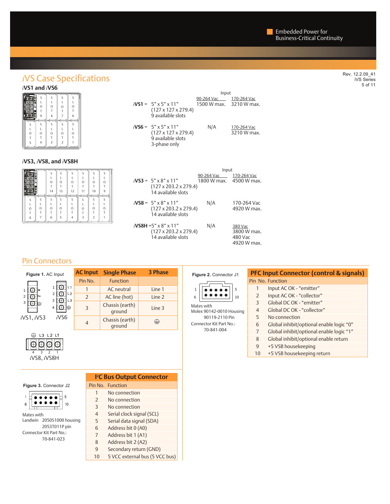## *i*VS Case Specifications

|        | Ś      | ς           |        | Ś      |
|--------|--------|-------------|--------|--------|
|        | O<br>9 | O<br>x<br>8 | O      | O<br>6 |
| Ð<br>z | ₹<br>ς | z           | Ē      | Ś      |
| O<br>5 | O      | $\Omega$    | O<br>2 | O      |
|        |        |             |        |        |

#### *i***VS3,** *i***VS8, and** *i***VS8H**

| तक<br>- | 14 | $\epsilon$<br>13 | 12 | 10 |  |
|---------|----|------------------|----|----|--|
|         |    |                  |    |    |  |
|         |    |                  |    |    |  |
|         |    |                  |    |    |  |
|         |    |                  |    |    |  |
|         | ь  |                  |    |    |  |

|                                                                                        | Input                                             |                            |
|----------------------------------------------------------------------------------------|---------------------------------------------------|----------------------------|
| $i$ VS1 = 5" x 5" x 11"<br>$(127 \times 127 \times 279.4)$<br>9 available slots        | 90-264 Vac 170-264 Vac<br>1500 W max. 3210 W max. |                            |
| $i$ <b>VS6</b> = 5" x 5" x 11"<br>$(127 \times 127 \times 279.4)$<br>9 available slots | N/A                                               | 170-264 Vac<br>3210 W max. |

3-phase only

|                                                                                    | Input                                             |                                                  |
|------------------------------------------------------------------------------------|---------------------------------------------------|--------------------------------------------------|
| $i$ VS3 = 5" x 8" x 11"<br>$(127 \times 203.2 \times 279.4)$<br>14 available slots | 90-264 Vac 170-264 Vac<br>1800 W max. 4500 W max. |                                                  |
| $i$ VS8 = 5" x 8" x 11"<br>$(127 \times 203.2 \times 279.4)$<br>14 available slots | N/A                                               | 170-264 Vac<br>4920 W max.                       |
| $i$ VS8H =5" x 8" x 11"<br>$(127 \times 203.2 \times 279.4)$<br>14 available slots | N/A                                               | 380 Vac<br>3800 W max.<br>480 Vac<br>4920 W max. |

### Pin Connectors

| Figure 1. AC Input |                                                         | <b>AC Input</b>          | <b>Single Phase</b>       | <b>3 Phase</b> |
|--------------------|---------------------------------------------------------|--------------------------|---------------------------|----------------|
|                    |                                                         | Pin No.                  | <b>Function</b>           |                |
|                    |                                                         |                          | AC neutral                | Line 1         |
| 2                  | L <sub>2</sub><br>2<br>L <sub>3</sub><br>3<br>⊌<br>iVS6 | $\overline{\phantom{0}}$ | AC line (hot)             | Line 2         |
| 3                  |                                                         | 3                        | Chassis (earth)<br>ground | Line 3         |
| $i$ VS1, $i$ VS3   |                                                         | 4                        | Chassis (earth)<br>ground | ⇔              |



Mates with

 $\overline{1}$ 

 $\,$  6

| 8881 | ⊬ |  |
|------|---|--|
|      |   |  |
|      |   |  |

**Figure 3.** Connector J2

 $- - - - - -$ ٠  $\bullet$ ٠  $\bullet$ ٠  $10$ 

Landwin 2050S1000 housing 2053T011P pin

 $\sqrt{5}$ 

Connector Kit Part No.: 70-841-023

|   | <b>PC Bus Output Connector</b> |
|---|--------------------------------|
|   | Pin No. Function               |
| 1 | No connection                  |
|   | No connection                  |

| $\overline{\phantom{a}}$ | No connection                  |
|--------------------------|--------------------------------|
|                          |                                |
| 3                        | No connection                  |
| $\overline{4}$           | Serial clock signal (SCL)      |
| 5                        | Serial data signal (SDA)       |
| 6                        | Address bit 0 (A0)             |
| 7                        | Address bit 1 (A1)             |
| 8                        | Address bit 2 (A2)             |
| $\mathsf{q}$             | Secondary return (GND)         |
| 10                       | 5 VCC external bus (5 VCC bus) |

#### **Figure 2.** Connector J1 5 1  $\bullet\bullet\bullet\bullet$  $\bullet$  $\bullet\bullet\bullet\bullet\bullet$  6 10

 Molex 90142-0010 Housing Mates with 90119-2110 Pin Connector Kit Part No.: 70-841-004

#### **PFC Input Connector (control & signals)** Pin No. Function 1 Input AC OK - "emitter" 2 Input AC OK - "collector" 3 Global DC OK - "emitter" 4 Global DC OK - "collector" 5 No connection 6 Global inhibit/optional enable logic "0" 7 Global inhibit/optional enable logic "1" 8 Global inhibit/optional enable return 9 +5 VSB housekeeping 10 +5 VSB housekeeping return

Rev. 12.2.09\_41 iVS Series 5 of 11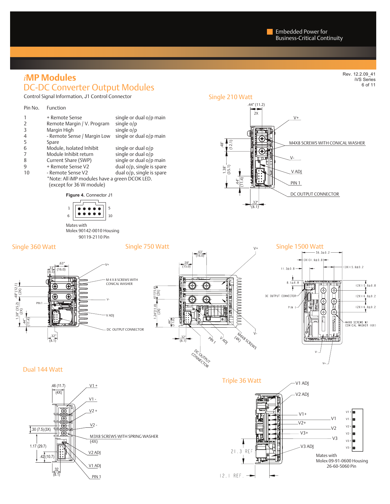## DC-DC Converter Output Modules *i***MP Modules**

PIN 1

V1 ADJ

 $rac{32}{(8.1)}$ 

Control Signal Information, J1 Control Connector

26-60-5060 Pin

Rev. 12.2.09\_41 iVS Series 6 of 11



12.1 REF. -